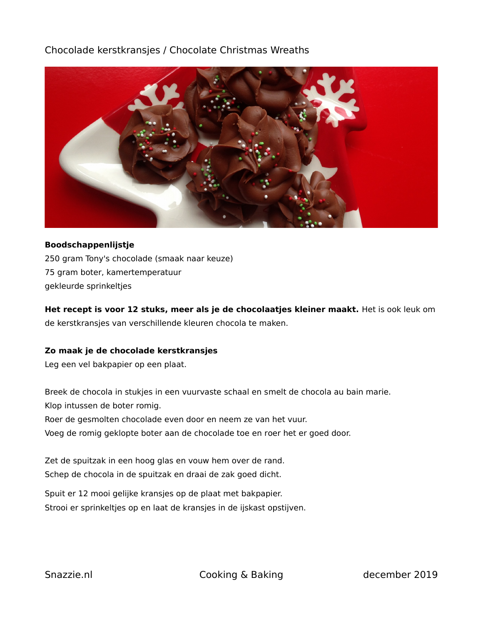# Chocolade kerstkransjes / Chocolate Christmas Wreaths



### **Boodschappenlijstje**

250 gram Tony's chocolade (smaak naar keuze) 75 gram boter, kamertemperatuur gekleurde sprinkeltjes

## **Het recept is voor 12 stuks, meer als je de chocolaatjes kleiner maakt.** Het is ook leuk om de kerstkransjes van verschillende kleuren chocola te maken.

### **Zo maak je de chocolade kerstkransjes**

Leg een vel bakpapier op een plaat.

Breek de chocola in stukjes in een vuurvaste schaal en smelt de chocola au bain marie. Klop intussen de boter romig. Roer de gesmolten chocolade even door en neem ze van het vuur. Voeg de romig geklopte boter aan de chocolade toe en roer het er goed door.

Zet de spuitzak in een hoog glas en vouw hem over de rand. Schep de chocola in de spuitzak en draai de zak goed dicht.

Spuit er 12 mooi gelijke kransjes op de plaat met bakpapier. Strooi er sprinkeltjes op en laat de kransjes in de ijskast opstijven.